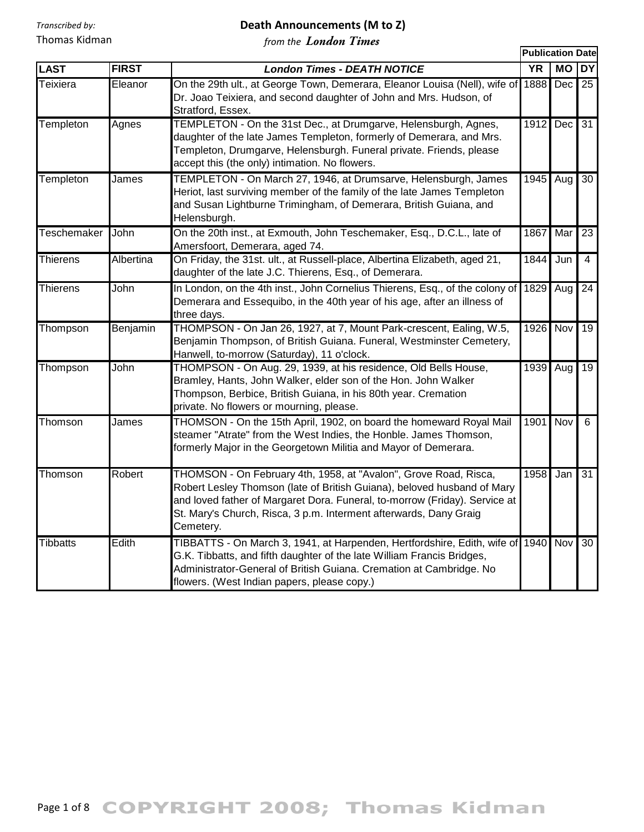## **Death Announcements (M to Z)**

|                    |              |                                                                                                                                                                                                                                                                                                             |                 | <b>Publication Date</b> |                 |  |
|--------------------|--------------|-------------------------------------------------------------------------------------------------------------------------------------------------------------------------------------------------------------------------------------------------------------------------------------------------------------|-----------------|-------------------------|-----------------|--|
| <b>LAST</b>        | <b>FIRST</b> | <b>London Times - DEATH NOTICE</b>                                                                                                                                                                                                                                                                          | $\overline{YR}$ | <b>MO</b>               | <b>DY</b>       |  |
| Teixiera           | Eleanor      | On the 29th ult., at George Town, Demerara, Eleanor Louisa (Nell), wife of<br>Dr. Joao Teixiera, and second daughter of John and Mrs. Hudson, of<br>Stratford, Essex.                                                                                                                                       | 1888            | Dec <sub>1</sub>        | 25              |  |
| Templeton          | Agnes        | TEMPLETON - On the 31st Dec., at Drumgarve, Helensburgh, Agnes,<br>daughter of the late James Templeton, formerly of Demerara, and Mrs.<br>Templeton, Drumgarve, Helensburgh. Funeral private. Friends, please<br>accept this (the only) intimation. No flowers.                                            | 1912            | Dec l                   | 31              |  |
| Templeton          | James        | TEMPLETON - On March 27, 1946, at Drumsarve, Helensburgh, James<br>Heriot, last surviving member of the family of the late James Templeton<br>and Susan Lightburne Trimingham, of Demerara, British Guiana, and<br>Helensburgh.                                                                             | 1945            | Aug                     | 30              |  |
| <b>Teschemaker</b> | John         | On the 20th inst., at Exmouth, John Teschemaker, Esq., D.C.L., late of<br>Amersfoort, Demerara, aged 74.                                                                                                                                                                                                    | 1867            | Mar                     | 23              |  |
| <b>Thierens</b>    | Albertina    | On Friday, the 31st. ult., at Russell-place, Albertina Elizabeth, aged 21,<br>daughter of the late J.C. Thierens, Esq., of Demerara.                                                                                                                                                                        | 1844            | Jun                     | $\overline{4}$  |  |
| <b>Thierens</b>    | John         | In London, on the 4th inst., John Cornelius Thierens, Esq., of the colony of<br>Demerara and Essequibo, in the 40th year of his age, after an illness of<br>three days.                                                                                                                                     | 1829            | Aug                     | $\overline{24}$ |  |
| Thompson           | Benjamin     | THOMPSON - On Jan 26, 1927, at 7, Mount Park-crescent, Ealing, W.5,<br>Benjamin Thompson, of British Guiana. Funeral, Westminster Cemetery,<br>Hanwell, to-morrow (Saturday), 11 o'clock.                                                                                                                   | 1926            | <b>Nov</b>              | 19              |  |
| Thompson           | John         | THOMPSON - On Aug. 29, 1939, at his residence, Old Bells House,<br>Bramley, Hants, John Walker, elder son of the Hon. John Walker<br>Thompson, Berbice, British Guiana, in his 80th year. Cremation<br>private. No flowers or mourning, please.                                                             | 1939            | Aug                     | 19              |  |
| Thomson            | James        | THOMSON - On the 15th April, 1902, on board the homeward Royal Mail<br>steamer "Atrate" from the West Indies, the Honble. James Thomson,<br>formerly Major in the Georgetown Militia and Mayor of Demerara.                                                                                                 | 1901            | Nov                     | 6               |  |
| Thomson            | Robert       | THOMSON - On February 4th, 1958, at "Avalon", Grove Road, Risca,<br>Robert Lesley Thomson (late of British Guiana), beloved husband of Mary<br>and loved father of Margaret Dora. Funeral, to-morrow (Friday). Service at<br>St. Mary's Church, Risca, 3 p.m. Interment afterwards, Dany Graig<br>Cemetery. | 1958            | Jan                     | 31              |  |
| <b>Tibbatts</b>    | Edith        | TIBBATTS - On March 3, 1941, at Harpenden, Hertfordshire, Edith, wife of 1940<br>G.K. Tibbatts, and fifth daughter of the late William Francis Bridges,<br>Administrator-General of British Guiana. Cremation at Cambridge. No<br>flowers. (West Indian papers, please copy.)                               |                 | Nov                     | 30              |  |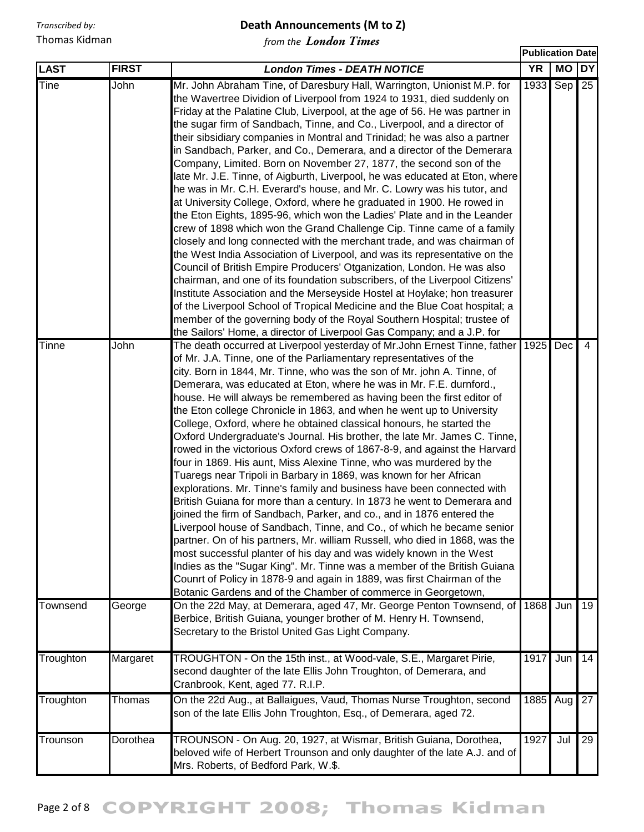#### **Death Announcements (M to Z)**

**Publication Date**

| <b>LAST</b> | <b>FIRST</b> | <b>London Times - DEATH NOTICE</b>                                                                                                                                                                                                                                                                                                                                                                                                                                                                                                                                                                                                                                                                                                                                                                                                                                                                                                                                                                                                                                                                                                                                                                                                                                                                                                                                                                                                                                                                                         | <b>YR</b> | MO DY      |                |
|-------------|--------------|----------------------------------------------------------------------------------------------------------------------------------------------------------------------------------------------------------------------------------------------------------------------------------------------------------------------------------------------------------------------------------------------------------------------------------------------------------------------------------------------------------------------------------------------------------------------------------------------------------------------------------------------------------------------------------------------------------------------------------------------------------------------------------------------------------------------------------------------------------------------------------------------------------------------------------------------------------------------------------------------------------------------------------------------------------------------------------------------------------------------------------------------------------------------------------------------------------------------------------------------------------------------------------------------------------------------------------------------------------------------------------------------------------------------------------------------------------------------------------------------------------------------------|-----------|------------|----------------|
| Tine        | John         | Mr. John Abraham Tine, of Daresbury Hall, Warrington, Unionist M.P. for<br>the Wavertree Dividion of Liverpool from 1924 to 1931, died suddenly on<br>Friday at the Palatine Club, Liverpool, at the age of 56. He was partner in<br>the sugar firm of Sandbach, Tinne, and Co., Liverpool, and a director of<br>their sibsidiary companies in Montral and Trinidad; he was also a partner<br>in Sandbach, Parker, and Co., Demerara, and a director of the Demerara<br>Company, Limited. Born on November 27, 1877, the second son of the<br>late Mr. J.E. Tinne, of Aigburth, Liverpool, he was educated at Eton, where<br>he was in Mr. C.H. Everard's house, and Mr. C. Lowry was his tutor, and<br>at University College, Oxford, where he graduated in 1900. He rowed in<br>the Eton Eights, 1895-96, which won the Ladies' Plate and in the Leander<br>crew of 1898 which won the Grand Challenge Cip. Tinne came of a family<br>closely and long connected with the merchant trade, and was chairman of<br>the West India Association of Liverpool, and was its representative on the                                                                                                                                                                                                                                                                                                                                                                                                                              | 1933      | $Sep$ 25   |                |
|             |              | Council of British Empire Producers' Otganization, London. He was also<br>chairman, and one of its foundation subscribers, of the Liverpool Citizens'<br>Institute Association and the Merseyside Hostel at Hoylake; hon treasurer<br>of the Liverpool School of Tropical Medicine and the Blue Coat hospital; a<br>member of the governing body of the Royal Southern Hospital; trustee of<br>the Sailors' Home, a director of Liverpool Gas Company; and a J.P. for                                                                                                                                                                                                                                                                                                                                                                                                                                                                                                                                                                                                                                                                                                                                                                                                                                                                                                                                                                                                                                                      |           |            |                |
| Tinne       | John         | The death occurred at Liverpool yesterday of Mr. John Ernest Tinne, father<br>of Mr. J.A. Tinne, one of the Parliamentary representatives of the<br>city. Born in 1844, Mr. Tinne, who was the son of Mr. john A. Tinne, of<br>Demerara, was educated at Eton, where he was in Mr. F.E. durnford.,<br>house. He will always be remembered as having been the first editor of<br>the Eton college Chronicle in 1863, and when he went up to University<br>College, Oxford, where he obtained classical honours, he started the<br>Oxford Undergraduate's Journal. His brother, the late Mr. James C. Tinne,<br>rowed in the victorious Oxford crews of 1867-8-9, and against the Harvard<br>four in 1869. His aunt, Miss Alexine Tinne, who was murdered by the<br>Tuaregs near Tripoli in Barbary in 1869, was known for her African<br>explorations. Mr. Tinne's family and business have been connected with<br>British Guiana for more than a century. In 1873 he went to Demerara and<br>joined the firm of Sandbach, Parker, and co., and in 1876 entered the<br>Liverpool house of Sandbach, Tinne, and Co., of which he became senior<br>partner. On of his partners, Mr. william Russell, who died in 1868, was the<br>most successful planter of his day and was widely known in the West<br>Indies as the "Sugar King". Mr. Tinne was a member of the British Guiana<br>Counrt of Policy in 1878-9 and again in 1889, was first Chairman of the<br>Botanic Gardens and of the Chamber of commerce in Georgetown, | 1925      | <b>Dec</b> | $\overline{4}$ |
| Townsend    | George       | On the 22d May, at Demerara, aged 47, Mr. George Penton Townsend, of<br>Berbice, British Guiana, younger brother of M. Henry H. Townsend,<br>Secretary to the Bristol United Gas Light Company.                                                                                                                                                                                                                                                                                                                                                                                                                                                                                                                                                                                                                                                                                                                                                                                                                                                                                                                                                                                                                                                                                                                                                                                                                                                                                                                            | 1868      | Jun        | 19             |
| Troughton   | Margaret     | TROUGHTON - On the 15th inst., at Wood-vale, S.E., Margaret Pirie,<br>second daughter of the late Ellis John Troughton, of Demerara, and<br>Cranbrook, Kent, aged 77. R.I.P.                                                                                                                                                                                                                                                                                                                                                                                                                                                                                                                                                                                                                                                                                                                                                                                                                                                                                                                                                                                                                                                                                                                                                                                                                                                                                                                                               | 1917      | Jun        | 14             |
| Troughton   | Thomas       | On the 22d Aug., at Ballaigues, Vaud, Thomas Nurse Troughton, second<br>son of the late Ellis John Troughton, Esq., of Demerara, aged 72.                                                                                                                                                                                                                                                                                                                                                                                                                                                                                                                                                                                                                                                                                                                                                                                                                                                                                                                                                                                                                                                                                                                                                                                                                                                                                                                                                                                  | 1885      | Aug        | 27             |
| Trounson    | Dorothea     | TROUNSON - On Aug. 20, 1927, at Wismar, British Guiana, Dorothea,<br>beloved wife of Herbert Trounson and only daughter of the late A.J. and of<br>Mrs. Roberts, of Bedford Park, W.\$.                                                                                                                                                                                                                                                                                                                                                                                                                                                                                                                                                                                                                                                                                                                                                                                                                                                                                                                                                                                                                                                                                                                                                                                                                                                                                                                                    | 1927      | Jul        | 29             |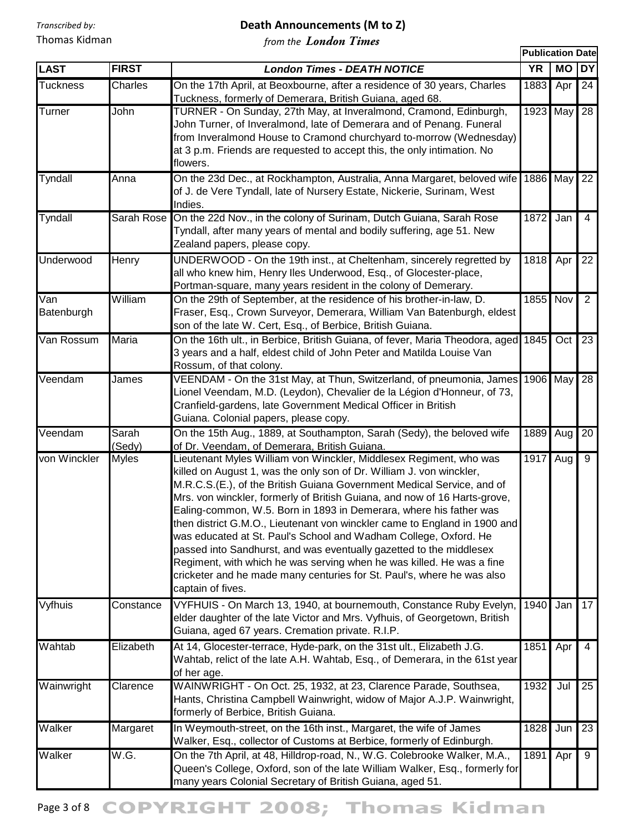### **Death Announcements (M to Z)**

|                   |                 |                                                                                                                                                                                                                                                                                                                                                                                                                                                                                                                                                                                                                                                                                                                                                                         | <b>Publication Date</b> |                  |                 |
|-------------------|-----------------|-------------------------------------------------------------------------------------------------------------------------------------------------------------------------------------------------------------------------------------------------------------------------------------------------------------------------------------------------------------------------------------------------------------------------------------------------------------------------------------------------------------------------------------------------------------------------------------------------------------------------------------------------------------------------------------------------------------------------------------------------------------------------|-------------------------|------------------|-----------------|
| <b>LAST</b>       | <b>FIRST</b>    | <b>London Times - DEATH NOTICE</b>                                                                                                                                                                                                                                                                                                                                                                                                                                                                                                                                                                                                                                                                                                                                      | <b>YR</b>               | <b>MO</b>        | <b>DY</b>       |
| <b>Tuckness</b>   | Charles         | On the 17th April, at Beoxbourne, after a residence of 30 years, Charles<br>Tuckness, formerly of Demerara, British Guiana, aged 68.                                                                                                                                                                                                                                                                                                                                                                                                                                                                                                                                                                                                                                    | 1883                    | Apr              | 24              |
| Turner            | John            | TURNER - On Sunday, 27th May, at Inveralmond, Cramond, Edinburgh,<br>John Turner, of Inveralmond, late of Demerara and of Penang. Funeral<br>from Inveralmond House to Cramond churchyard to-morrow (Wednesday)<br>at 3 p.m. Friends are requested to accept this, the only intimation. No<br>flowers.                                                                                                                                                                                                                                                                                                                                                                                                                                                                  | 1923                    | May              | $\overline{28}$ |
| Tyndall           | Anna            | On the 23d Dec., at Rockhampton, Australia, Anna Margaret, beloved wife<br>of J. de Vere Tyndall, late of Nursery Estate, Nickerie, Surinam, West<br>Indies.                                                                                                                                                                                                                                                                                                                                                                                                                                                                                                                                                                                                            | 1886                    | May              | 22              |
| Tyndall           |                 | Sarah Rose On the 22d Nov., in the colony of Surinam, Dutch Guiana, Sarah Rose<br>Tyndall, after many years of mental and bodily suffering, age 51. New<br>Zealand papers, please copy.                                                                                                                                                                                                                                                                                                                                                                                                                                                                                                                                                                                 | 1872                    | Jan              | $\overline{4}$  |
| Underwood         | Henry           | UNDERWOOD - On the 19th inst., at Cheltenham, sincerely regretted by<br>all who knew him, Henry Iles Underwood, Esq., of Glocester-place,<br>Portman-square, many years resident in the colony of Demerary.                                                                                                                                                                                                                                                                                                                                                                                                                                                                                                                                                             | 1818                    | Apr              | 22              |
| Van<br>Batenburgh | William         | On the 29th of September, at the residence of his brother-in-law, D.<br>Fraser, Esq., Crown Surveyor, Demerara, William Van Batenburgh, eldest<br>son of the late W. Cert, Esq., of Berbice, British Guiana.                                                                                                                                                                                                                                                                                                                                                                                                                                                                                                                                                            | 1855                    | Nov              | $\overline{2}$  |
| Van Rossum        | <b>Maria</b>    | On the 16th ult., in Berbice, British Guiana, of fever, Maria Theodora, aged 1845<br>3 years and a half, eldest child of John Peter and Matilda Louise Van<br>Rossum, of that colony.                                                                                                                                                                                                                                                                                                                                                                                                                                                                                                                                                                                   |                         | Oct <sub>1</sub> | $\overline{23}$ |
| Veendam           | James           | VEENDAM - On the 31st May, at Thun, Switzerland, of pneumonia, James<br>Lionel Veendam, M.D. (Leydon), Chevalier de la Légion d'Honneur, of 73,<br>Cranfield-gardens, late Government Medical Officer in British<br>Guiana. Colonial papers, please copy.                                                                                                                                                                                                                                                                                                                                                                                                                                                                                                               | 1906 May                |                  | 28              |
| Veendam           | Sarah<br>(Sedy) | On the 15th Aug., 1889, at Southampton, Sarah (Sedy), the beloved wife<br>of Dr. Veendam, of Demerara, British Guiana.                                                                                                                                                                                                                                                                                                                                                                                                                                                                                                                                                                                                                                                  | 1889                    | Aug              | $\overline{20}$ |
| von Winckler      | <b>Myles</b>    | Lieutenant Myles William von Winckler, Middlesex Regiment, who was<br>killed on August 1, was the only son of Dr. William J. von winckler,<br>M.R.C.S.(E.), of the British Guiana Government Medical Service, and of<br>Mrs. von winckler, formerly of British Guiana, and now of 16 Harts-grove,<br>Ealing-common, W.5. Born in 1893 in Demerara, where his father was<br>then district G.M.O., Lieutenant von winckler came to England in 1900 and<br>was educated at St. Paul's School and Wadham College, Oxford. He<br>passed into Sandhurst, and was eventually gazetted to the middlesex<br>Regiment, with which he was serving when he was killed. He was a fine<br>cricketer and he made many centuries for St. Paul's, where he was also<br>captain of fives. | 1917                    | Aug              | 9               |
| <b>Vyfhuis</b>    | Constance       | VYFHUIS - On March 13, 1940, at bournemouth, Constance Ruby Evelyn,<br>elder daughter of the late Victor and Mrs. Vyfhuis, of Georgetown, British<br>Guiana, aged 67 years. Cremation private. R.I.P.                                                                                                                                                                                                                                                                                                                                                                                                                                                                                                                                                                   | 1940                    | Jan              | 17              |
| Wahtab            | Elizabeth       | At 14, Glocester-terrace, Hyde-park, on the 31st ult., Elizabeth J.G.<br>Wahtab, relict of the late A.H. Wahtab, Esq., of Demerara, in the 61st year<br>of her age.                                                                                                                                                                                                                                                                                                                                                                                                                                                                                                                                                                                                     | 1851                    | Apr              | 4               |
| Wainwright        | Clarence        | WAINWRIGHT - On Oct. 25, 1932, at 23, Clarence Parade, Southsea,<br>Hants, Christina Campbell Wainwright, widow of Major A.J.P. Wainwright,<br>formerly of Berbice, British Guiana.                                                                                                                                                                                                                                                                                                                                                                                                                                                                                                                                                                                     | 1932                    | Jul              | $\overline{25}$ |
| Walker            | Margaret        | In Weymouth-street, on the 16th inst., Margaret, the wife of James<br>Walker, Esq., collector of Customs at Berbice, formerly of Edinburgh.                                                                                                                                                                                                                                                                                                                                                                                                                                                                                                                                                                                                                             | 1828                    | Jun              | 23              |
| Walker            | W.G.            | On the 7th April, at 48, Hilldrop-road, N., W.G. Colebrooke Walker, M.A.,<br>Queen's College, Oxford, son of the late William Walker, Esq., formerly for<br>many years Colonial Secretary of British Guiana, aged 51.                                                                                                                                                                                                                                                                                                                                                                                                                                                                                                                                                   | 1891                    | Apr              | 9               |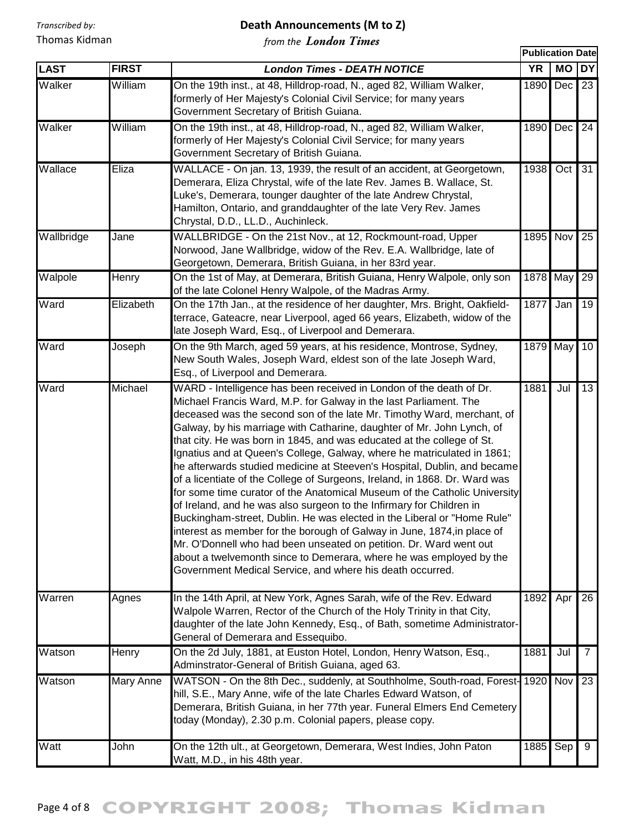#### **Death Announcements (M to Z)**

|             |              | UIII UIL <i>L</i> UINNUIN 1 MI                                                                                                                                                                                                                                                                                                                                                                                                                                                                                                                                                                                                                                                                                                                                                                                                                                                                                                                                                                                                                                                                                                   | <b>Publication Date</b> |                  |                 |
|-------------|--------------|----------------------------------------------------------------------------------------------------------------------------------------------------------------------------------------------------------------------------------------------------------------------------------------------------------------------------------------------------------------------------------------------------------------------------------------------------------------------------------------------------------------------------------------------------------------------------------------------------------------------------------------------------------------------------------------------------------------------------------------------------------------------------------------------------------------------------------------------------------------------------------------------------------------------------------------------------------------------------------------------------------------------------------------------------------------------------------------------------------------------------------|-------------------------|------------------|-----------------|
| <b>LAST</b> | <b>FIRST</b> | <b>London Times - DEATH NOTICE</b>                                                                                                                                                                                                                                                                                                                                                                                                                                                                                                                                                                                                                                                                                                                                                                                                                                                                                                                                                                                                                                                                                               | <b>YR</b>               | <b>MO</b>        | <b>DY</b>       |
| Walker      | William      | On the 19th inst., at 48, Hilldrop-road, N., aged 82, William Walker,<br>formerly of Her Majesty's Colonial Civil Service; for many years<br>Government Secretary of British Guiana.                                                                                                                                                                                                                                                                                                                                                                                                                                                                                                                                                                                                                                                                                                                                                                                                                                                                                                                                             | 1890                    | Dec              | 23              |
| Walker      | William      | On the 19th inst., at 48, Hilldrop-road, N., aged 82, William Walker,<br>formerly of Her Majesty's Colonial Civil Service; for many years<br>Government Secretary of British Guiana.                                                                                                                                                                                                                                                                                                                                                                                                                                                                                                                                                                                                                                                                                                                                                                                                                                                                                                                                             | 1890                    | Dec              | 24              |
| Wallace     | Eliza        | WALLACE - On jan. 13, 1939, the result of an accident, at Georgetown,<br>Demerara, Eliza Chrystal, wife of the late Rev. James B. Wallace, St.<br>Luke's, Demerara, tounger daughter of the late Andrew Chrystal,<br>Hamilton, Ontario, and granddaughter of the late Very Rev. James<br>Chrystal, D.D., LL.D., Auchinleck.                                                                                                                                                                                                                                                                                                                                                                                                                                                                                                                                                                                                                                                                                                                                                                                                      | 1938                    | Oct <sub>1</sub> | 31              |
| Wallbridge  | Jane         | WALLBRIDGE - On the 21st Nov., at 12, Rockmount-road, Upper<br>Norwood, Jane Wallbridge, widow of the Rev. E.A. Wallbridge, late of<br>Georgetown, Demerara, British Guiana, in her 83rd year.                                                                                                                                                                                                                                                                                                                                                                                                                                                                                                                                                                                                                                                                                                                                                                                                                                                                                                                                   | 1895                    | Nov              | $\overline{25}$ |
| Walpole     | Henry        | On the 1st of May, at Demerara, British Guiana, Henry Walpole, only son<br>of the late Colonel Henry Walpole, of the Madras Army.                                                                                                                                                                                                                                                                                                                                                                                                                                                                                                                                                                                                                                                                                                                                                                                                                                                                                                                                                                                                | 1878                    | May              | $\overline{29}$ |
| Ward        | Elizabeth    | On the 17th Jan., at the residence of her daughter, Mrs. Bright, Oakfield-<br>terrace, Gateacre, near Liverpool, aged 66 years, Elizabeth, widow of the<br>late Joseph Ward, Esq., of Liverpool and Demerara.                                                                                                                                                                                                                                                                                                                                                                                                                                                                                                                                                                                                                                                                                                                                                                                                                                                                                                                    | 1877                    | Jan              | 19              |
| Ward        | Joseph       | On the 9th March, aged 59 years, at his residence, Montrose, Sydney,<br>New South Wales, Joseph Ward, eldest son of the late Joseph Ward,<br>Esq., of Liverpool and Demerara.                                                                                                                                                                                                                                                                                                                                                                                                                                                                                                                                                                                                                                                                                                                                                                                                                                                                                                                                                    | 1879 May                |                  | 10 <sup>°</sup> |
| Ward        | Michael      | WARD - Intelligence has been received in London of the death of Dr.<br>Michael Francis Ward, M.P. for Galway in the last Parliament. The<br>deceased was the second son of the late Mr. Timothy Ward, merchant, of<br>Galway, by his marriage with Catharine, daughter of Mr. John Lynch, of<br>that city. He was born in 1845, and was educated at the college of St.<br>Ignatius and at Queen's College, Galway, where he matriculated in 1861;<br>he afterwards studied medicine at Steeven's Hospital, Dublin, and became<br>of a licentiate of the College of Surgeons, Ireland, in 1868. Dr. Ward was<br>for some time curator of the Anatomical Museum of the Catholic University<br>of Ireland, and he was also surgeon to the Infirmary for Children in<br>Buckingham-street, Dublin. He was elected in the Liberal or "Home Rule"<br>interest as member for the borough of Galway in June, 1874, in place of<br>Mr. O'Donnell who had been unseated on petition. Dr. Ward went out<br>about a twelvemonth since to Demerara, where he was employed by the<br>Government Medical Service, and where his death occurred. | 1881                    | Jul              | 13              |
| Warren      | Agnes        | In the 14th April, at New York, Agnes Sarah, wife of the Rev. Edward<br>Walpole Warren, Rector of the Church of the Holy Trinity in that City,<br>daughter of the late John Kennedy, Esq., of Bath, sometime Administrator-<br>General of Demerara and Essequibo.                                                                                                                                                                                                                                                                                                                                                                                                                                                                                                                                                                                                                                                                                                                                                                                                                                                                | 1892                    | Apr              | 26              |
| Watson      | Henry        | On the 2d July, 1881, at Euston Hotel, London, Henry Watson, Esq.,<br>Adminstrator-General of British Guiana, aged 63.                                                                                                                                                                                                                                                                                                                                                                                                                                                                                                                                                                                                                                                                                                                                                                                                                                                                                                                                                                                                           | 1881                    | Jul              | $\overline{7}$  |
| Watson      | Mary Anne    | WATSON - On the 8th Dec., suddenly, at Southholme, South-road, Forest-1920 Nov<br>hill, S.E., Mary Anne, wife of the late Charles Edward Watson, of<br>Demerara, British Guiana, in her 77th year. Funeral Elmers End Cemetery<br>today (Monday), 2.30 p.m. Colonial papers, please copy.                                                                                                                                                                                                                                                                                                                                                                                                                                                                                                                                                                                                                                                                                                                                                                                                                                        |                         |                  | 23              |
| Watt        | John         | On the 12th ult., at Georgetown, Demerara, West Indies, John Paton<br>Watt, M.D., in his 48th year.                                                                                                                                                                                                                                                                                                                                                                                                                                                                                                                                                                                                                                                                                                                                                                                                                                                                                                                                                                                                                              | 1885                    | Sep              | 9               |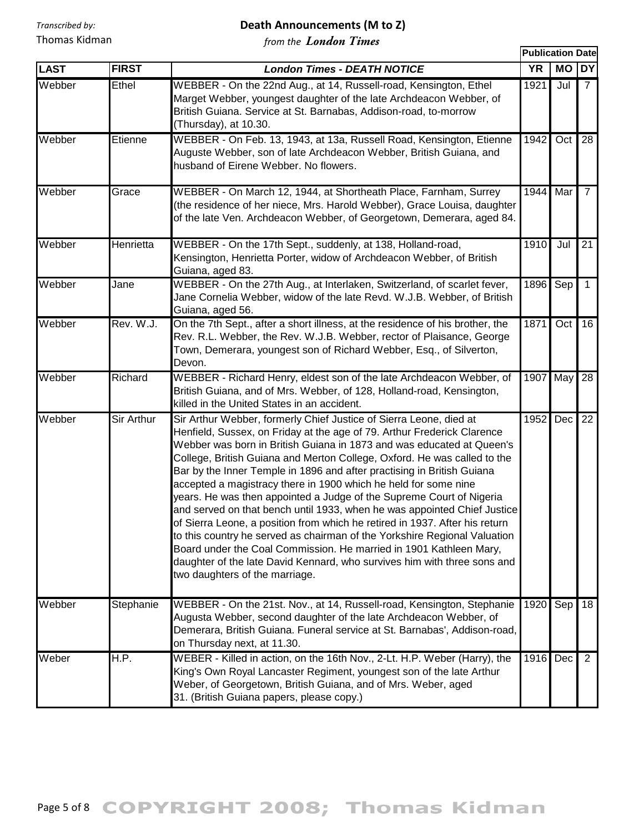## **Death Announcements (M to Z)**

|             |              |                                                                                                                                                                                                                                                                                                                                                                                                                                                                                                                                                                                                                                                                                                                                                                                                                                                                                                                                                     | <b>Publication Date</b> |                         |                 |
|-------------|--------------|-----------------------------------------------------------------------------------------------------------------------------------------------------------------------------------------------------------------------------------------------------------------------------------------------------------------------------------------------------------------------------------------------------------------------------------------------------------------------------------------------------------------------------------------------------------------------------------------------------------------------------------------------------------------------------------------------------------------------------------------------------------------------------------------------------------------------------------------------------------------------------------------------------------------------------------------------------|-------------------------|-------------------------|-----------------|
| <b>LAST</b> | <b>FIRST</b> | <b>London Times - DEATH NOTICE</b>                                                                                                                                                                                                                                                                                                                                                                                                                                                                                                                                                                                                                                                                                                                                                                                                                                                                                                                  | <b>YR</b>               | <b>MO</b>               | <b>DY</b>       |
| Webber      | Ethel        | WEBBER - On the 22nd Aug., at 14, Russell-road, Kensington, Ethel<br>Marget Webber, youngest daughter of the late Archdeacon Webber, of<br>British Guiana. Service at St. Barnabas, Addison-road, to-morrow<br>(Thursday), at 10.30.                                                                                                                                                                                                                                                                                                                                                                                                                                                                                                                                                                                                                                                                                                                | 1921                    | Jul                     | $\overline{7}$  |
| Webber      | Etienne      | WEBBER - On Feb. 13, 1943, at 13a, Russell Road, Kensington, Etienne<br>Auguste Webber, son of late Archdeacon Webber, British Guiana, and<br>husband of Eirene Webber. No flowers.                                                                                                                                                                                                                                                                                                                                                                                                                                                                                                                                                                                                                                                                                                                                                                 | 1942                    | Oct <sub>1</sub>        | 28              |
| Webber      | Grace        | WEBBER - On March 12, 1944, at Shortheath Place, Farnham, Surrey<br>(the residence of her niece, Mrs. Harold Webber), Grace Louisa, daughter<br>of the late Ven. Archdeacon Webber, of Georgetown, Demerara, aged 84.                                                                                                                                                                                                                                                                                                                                                                                                                                                                                                                                                                                                                                                                                                                               | 1944                    | Mar                     | $7^{\circ}$     |
| Webber      | Henrietta    | WEBBER - On the 17th Sept., suddenly, at 138, Holland-road,<br>Kensington, Henrietta Porter, widow of Archdeacon Webber, of British<br>Guiana, aged 83.                                                                                                                                                                                                                                                                                                                                                                                                                                                                                                                                                                                                                                                                                                                                                                                             | 1910                    | Jul                     | $\overline{21}$ |
| Webber      | Jane         | WEBBER - On the 27th Aug., at Interlaken, Switzerland, of scarlet fever,<br>Jane Cornelia Webber, widow of the late Revd. W.J.B. Webber, of British<br>Guiana, aged 56.                                                                                                                                                                                                                                                                                                                                                                                                                                                                                                                                                                                                                                                                                                                                                                             | 1896                    | $\overline{\text{Sep}}$ | 1 <sup>1</sup>  |
| Webber      | Rev. W.J.    | On the 7th Sept., after a short illness, at the residence of his brother, the<br>Rev. R.L. Webber, the Rev. W.J.B. Webber, rector of Plaisance, George<br>Town, Demerara, youngest son of Richard Webber, Esq., of Silverton,<br>Devon.                                                                                                                                                                                                                                                                                                                                                                                                                                                                                                                                                                                                                                                                                                             | 1871                    | Oct                     | 16              |
| Webber      | Richard      | WEBBER - Richard Henry, eldest son of the late Archdeacon Webber, of<br>British Guiana, and of Mrs. Webber, of 128, Holland-road, Kensington,<br>killed in the United States in an accident.                                                                                                                                                                                                                                                                                                                                                                                                                                                                                                                                                                                                                                                                                                                                                        | 1907                    | May                     | 28              |
| Webber      | Sir Arthur   | Sir Arthur Webber, formerly Chief Justice of Sierra Leone, died at<br>Henfield, Sussex, on Friday at the age of 79. Arthur Frederick Clarence<br>Webber was born in British Guiana in 1873 and was educated at Queen's<br>College, British Guiana and Merton College, Oxford. He was called to the<br>Bar by the Inner Temple in 1896 and after practising in British Guiana<br>accepted a magistracy there in 1900 which he held for some nine<br>years. He was then appointed a Judge of the Supreme Court of Nigeria<br>and served on that bench until 1933, when he was appointed Chief Justice<br>of Sierra Leone, a position from which he retired in 1937. After his return<br>to this country he served as chairman of the Yorkshire Regional Valuation<br>Board under the Coal Commission. He married in 1901 Kathleen Mary,<br>daughter of the late David Kennard, who survives him with three sons and<br>two daughters of the marriage. | 1952                    | Dec                     | $\overline{22}$ |
| Webber      | Stephanie    | WEBBER - On the 21st. Nov., at 14, Russell-road, Kensington, Stephanie<br>Augusta Webber, second daughter of the late Archdeacon Webber, of<br>Demerara, British Guiana. Funeral service at St. Barnabas', Addison-road,<br>on Thursday next, at 11.30.                                                                                                                                                                                                                                                                                                                                                                                                                                                                                                                                                                                                                                                                                             | 1920                    | Sep                     | 18              |
| Weber       | H.P.         | WEBER - Killed in action, on the 16th Nov., 2-Lt. H.P. Weber (Harry), the<br>King's Own Royal Lancaster Regiment, youngest son of the late Arthur<br>Weber, of Georgetown, British Guiana, and of Mrs. Weber, aged<br>31. (British Guiana papers, please copy.)                                                                                                                                                                                                                                                                                                                                                                                                                                                                                                                                                                                                                                                                                     | 1916                    | Dec                     | $\overline{2}$  |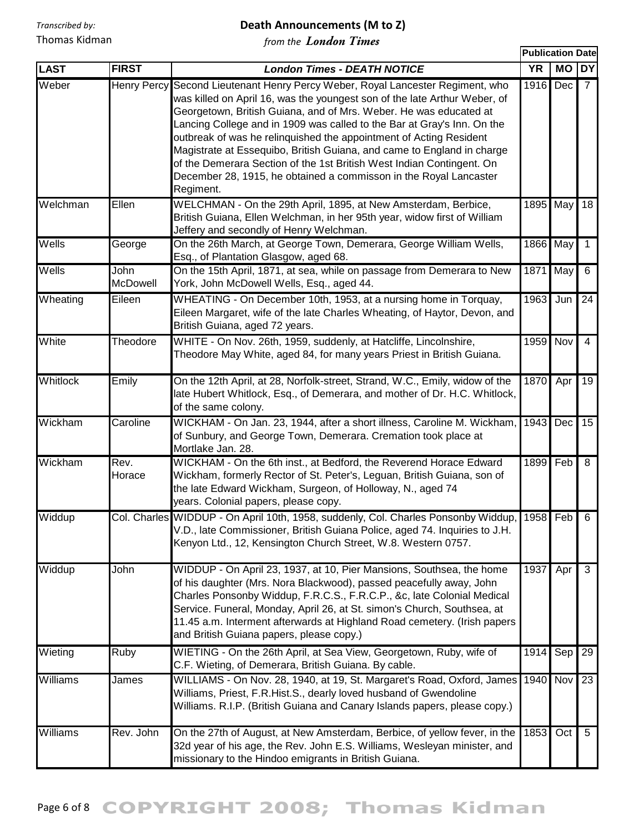*Transcribed by:*

Thomas Kidman

#### **Death Announcements (M to Z)**

**Publication Date**

*from the London Times*

| <b>LAST</b> | <b>FIRST</b>            | <b>London Times - DEATH NOTICE</b>                                                                                                                                                                                                                                                                                                                                                                                                                                                                                                                                                                         | <b>YR</b> | MO               | DY              |
|-------------|-------------------------|------------------------------------------------------------------------------------------------------------------------------------------------------------------------------------------------------------------------------------------------------------------------------------------------------------------------------------------------------------------------------------------------------------------------------------------------------------------------------------------------------------------------------------------------------------------------------------------------------------|-----------|------------------|-----------------|
| Weber       | Henry Percy             | Second Lieutenant Henry Percy Weber, Royal Lancester Regiment, who<br>was killed on April 16, was the youngest son of the late Arthur Weber, of<br>Georgetown, British Guiana, and of Mrs. Weber. He was educated at<br>Lancing College and in 1909 was called to the Bar at Gray's Inn. On the<br>outbreak of was he relinquished the appointment of Acting Resident<br>Magistrate at Essequibo, British Guiana, and came to England in charge<br>of the Demerara Section of the 1st British West Indian Contingent. On<br>December 28, 1915, he obtained a commisson in the Royal Lancaster<br>Regiment. | 1916      | Dec              |                 |
| Welchman    | Ellen                   | WELCHMAN - On the 29th April, 1895, at New Amsterdam, Berbice,<br>British Guiana, Ellen Welchman, in her 95th year, widow first of William<br>Jeffery and secondly of Henry Welchman.                                                                                                                                                                                                                                                                                                                                                                                                                      |           | 1895 May         | 18              |
| Wells       | George                  | On the 26th March, at George Town, Demerara, George William Wells,<br>Esq., of Plantation Glasgow, aged 68.                                                                                                                                                                                                                                                                                                                                                                                                                                                                                                | 1866 May  |                  | $\mathbf{1}$    |
| Wells       | John<br><b>McDowell</b> | On the 15th April, 1871, at sea, while on passage from Demerara to New<br>York, John McDowell Wells, Esq., aged 44.                                                                                                                                                                                                                                                                                                                                                                                                                                                                                        | 1871 May  |                  | 6               |
| Wheating    | Eileen                  | WHEATING - On December 10th, 1953, at a nursing home in Torquay,<br>Eileen Margaret, wife of the late Charles Wheating, of Haytor, Devon, and<br>British Guiana, aged 72 years.                                                                                                                                                                                                                                                                                                                                                                                                                            | 1963      | Jun              | 24              |
| White       | Theodore                | WHITE - On Nov. 26th, 1959, suddenly, at Hatcliffe, Lincolnshire,<br>Theodore May White, aged 84, for many years Priest in British Guiana.                                                                                                                                                                                                                                                                                                                                                                                                                                                                 | 1959 Nov  |                  | $\overline{4}$  |
| Whitlock    | Emily                   | On the 12th April, at 28, Norfolk-street, Strand, W.C., Emily, widow of the<br>late Hubert Whitlock, Esq., of Demerara, and mother of Dr. H.C. Whitlock,<br>of the same colony.                                                                                                                                                                                                                                                                                                                                                                                                                            | 1870      | Apr              | 19              |
| Wickham     | Caroline                | WICKHAM - On Jan. 23, 1944, after a short illness, Caroline M. Wickham,<br>of Sunbury, and George Town, Demerara. Cremation took place at<br>Mortlake Jan. 28.                                                                                                                                                                                                                                                                                                                                                                                                                                             | 1943      | Dec              | 15              |
| Wickham     | Rev.<br>Horace          | WICKHAM - On the 6th inst., at Bedford, the Reverend Horace Edward<br>Wickham, formerly Rector of St. Peter's, Leguan, British Guiana, son of<br>the late Edward Wickham, Surgeon, of Holloway, N., aged 74<br>years. Colonial papers, please copy.                                                                                                                                                                                                                                                                                                                                                        | 1899      | Feb              | 8               |
| Widdup      |                         | Col. Charles WIDDUP - On April 10th, 1958, suddenly, Col. Charles Ponsonby Widdup,<br>V.D., late Commissioner, British Guiana Police, aged 74. Inquiries to J.H.<br>Kenyon Ltd., 12, Kensington Church Street, W.8. Western 0757.                                                                                                                                                                                                                                                                                                                                                                          | 1958 Feb  |                  | 6               |
| Widdup      | John                    | WIDDUP - On April 23, 1937, at 10, Pier Mansions, Southsea, the home<br>of his daughter (Mrs. Nora Blackwood), passed peacefully away, John<br>Charles Ponsonby Widdup, F.R.C.S., F.R.C.P., &c, late Colonial Medical<br>Service. Funeral, Monday, April 26, at St. simon's Church, Southsea, at<br>11.45 a.m. Interment afterwards at Highland Road cemetery. (Irish papers<br>and British Guiana papers, please copy.)                                                                                                                                                                                   | 1937      | Apr              | 3               |
| Wieting     | Ruby                    | WIETING - On the 26th April, at Sea View, Georgetown, Ruby, wife of<br>C.F. Wieting, of Demerara, British Guiana. By cable.                                                                                                                                                                                                                                                                                                                                                                                                                                                                                | 1914      | Sep              | 29              |
| Williams    | James                   | WILLIAMS - On Nov. 28, 1940, at 19, St. Margaret's Road, Oxford, James<br>Williams, Priest, F.R.Hist.S., dearly loved husband of Gwendoline<br>Williams. R.I.P. (British Guiana and Canary Islands papers, please copy.)                                                                                                                                                                                                                                                                                                                                                                                   | 1940      | Nov              | $\overline{23}$ |
| Williams    | Rev. John               | On the 27th of August, at New Amsterdam, Berbice, of yellow fever, in the<br>32d year of his age, the Rev. John E.S. Williams, Wesleyan minister, and<br>missionary to the Hindoo emigrants in British Guiana.                                                                                                                                                                                                                                                                                                                                                                                             | 1853      | Oct <sub>1</sub> | $5\overline{)}$ |

## Page 6 of 8 COPYRIGHT 2008; Thomas Kidman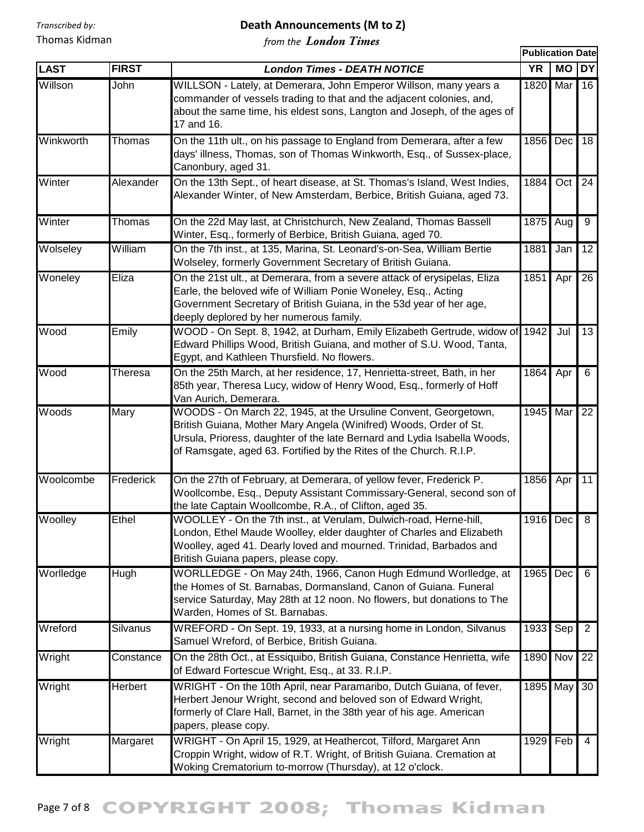#### **Death Announcements (M to Z)**

*from the London Times*

|             |                 |                                                                                                                                                                                                                                                                                        | <b>Publication Date</b> |                  |                 |
|-------------|-----------------|----------------------------------------------------------------------------------------------------------------------------------------------------------------------------------------------------------------------------------------------------------------------------------------|-------------------------|------------------|-----------------|
| <b>LAST</b> | <b>FIRST</b>    | <b>London Times - DEATH NOTICE</b>                                                                                                                                                                                                                                                     | <b>YR</b>               | <b>MO</b>        | <b>DY</b>       |
| Willson     | John            | WILLSON - Lately, at Demerara, John Emperor Willson, many years a<br>commander of vessels trading to that and the adjacent colonies, and,<br>about the same time, his eldest sons, Langton and Joseph, of the ages of<br>17 and 16.                                                    | 1820                    | Mar              | 16              |
| Winkworth   | Thomas          | On the 11th ult., on his passage to England from Demerara, after a few<br>days' illness, Thomas, son of Thomas Winkworth, Esq., of Sussex-place,<br>Canonbury, aged 31.                                                                                                                | 1856                    | Dec              | 18              |
| Winter      | Alexander       | On the 13th Sept., of heart disease, at St. Thomas's Island, West Indies,<br>Alexander Winter, of New Amsterdam, Berbice, British Guiana, aged 73.                                                                                                                                     | 1884                    | Oct <sub>1</sub> | 24              |
| Winter      | Thomas          | On the 22d May last, at Christchurch, New Zealand, Thomas Bassell<br>Winter, Esq., formerly of Berbice, British Guiana, aged 70.                                                                                                                                                       | 1875                    | Aug              | 9               |
| Wolseley    | William         | On the 7th inst., at 135, Marina, St. Leonard's-on-Sea, William Bertie<br>Wolseley, formerly Government Secretary of British Guiana.                                                                                                                                                   | 1881                    | Jan              | 12              |
| Woneley     | Eliza           | On the 21st ult., at Demerara, from a severe attack of erysipelas, Eliza<br>Earle, the beloved wife of William Ponie Woneley, Esq., Acting<br>Government Secretary of British Guiana, in the 53d year of her age,<br>deeply deplored by her numerous family.                           | 1851                    | Apr              | $\overline{26}$ |
| Wood        | Emily           | WOOD - On Sept. 8, 1942, at Durham, Emily Elizabeth Gertrude, widow of 1942<br>Edward Phillips Wood, British Guiana, and mother of S.U. Wood, Tanta,<br>Egypt, and Kathleen Thursfield. No flowers.                                                                                    |                         | Jul              | 13              |
| Wood        | Theresa         | On the 25th March, at her residence, 17, Henrietta-street, Bath, in her<br>85th year, Theresa Lucy, widow of Henry Wood, Esq., formerly of Hoff<br>Van Aurich, Demerara.                                                                                                               | 1864                    | Apr              | 6               |
| Woods       | Mary            | WOODS - On March 22, 1945, at the Ursuline Convent, Georgetown,<br>British Guiana, Mother Mary Angela (Winifred) Woods, Order of St.<br>Ursula, Prioress, daughter of the late Bernard and Lydia Isabella Woods,<br>of Ramsgate, aged 63. Fortified by the Rites of the Church. R.I.P. | 1945                    | Mar              | 22              |
| Woolcombe   | Frederick       | On the 27th of February, at Demerara, of yellow fever, Frederick P.<br>Woollcombe, Esq., Deputy Assistant Commissary-General, second son of<br>the late Captain Woollcombe, R.A., of Clifton, aged 35.                                                                                 | 1856                    | Apr              | 11              |
| Woolley     | Ethel           | WOOLLEY - On the 7th inst., at Verulam, Dulwich-road, Herne-hill,<br>London, Ethel Maude Woolley, elder daughter of Charles and Elizabeth<br>Woolley, aged 41. Dearly loved and mourned. Trinidad, Barbados and<br>British Guiana papers, please copy.                                 | 1916 Dec                |                  | 8               |
| Worlledge   | Hugh            | WORLLEDGE - On May 24th, 1966, Canon Hugh Edmund Worlledge, at<br>the Homes of St. Barnabas, Dormansland, Canon of Guiana. Funeral<br>service Saturday, May 28th at 12 noon. No flowers, but donations to The<br>Warden, Homes of St. Barnabas.                                        | 1965                    | Dec              | 6               |
| Wreford     | <b>Silvanus</b> | WREFORD - On Sept. 19, 1933, at a nursing home in London, Silvanus<br>Samuel Wreford, of Berbice, British Guiana.                                                                                                                                                                      | 1933                    | Sep              | $\overline{2}$  |
| Wright      | Constance       | On the 28th Oct., at Essiquibo, British Guiana, Constance Henrietta, wife<br>of Edward Fortescue Wright, Esq., at 33. R.I.P.                                                                                                                                                           | 1890 Nov                |                  | 22              |
| Wright      | Herbert         | WRIGHT - On the 10th April, near Paramaribo, Dutch Guiana, of fever,<br>Herbert Jenour Wright, second and beloved son of Edward Wright,<br>formerly of Clare Hall, Barnet, in the 38th year of his age. American<br>papers, please copy.                                               |                         | 1895 May         | 30              |
| Wright      | Margaret        | WRIGHT - On April 15, 1929, at Heathercot, Tilford, Margaret Ann<br>Croppin Wright, widow of R.T. Wright, of British Guiana. Cremation at<br>Woking Crematorium to-morrow (Thursday), at 12 o'clock.                                                                                   | 1929                    | Feb              | 4               |

# Page 7 of 8 COPYRIGHT 2008; Thomas Kidman